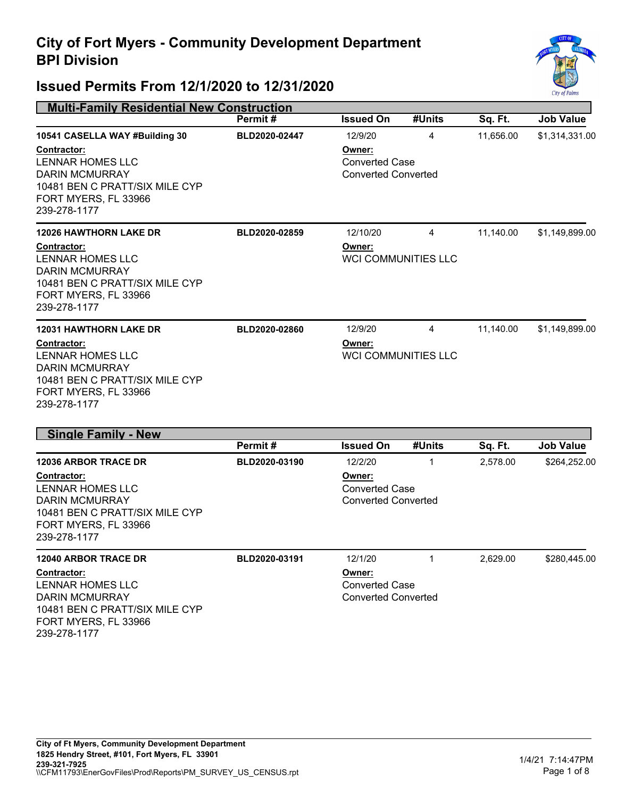

| <b>Multi-Family Residential New Construction</b>                                                                                                                                   |               |                                                                          |                                 |           |                  |
|------------------------------------------------------------------------------------------------------------------------------------------------------------------------------------|---------------|--------------------------------------------------------------------------|---------------------------------|-----------|------------------|
|                                                                                                                                                                                    | Permit#       | <b>Issued On</b>                                                         | #Units                          | Sq. Ft.   | <b>Job Value</b> |
| 10541 CASELLA WAY #Building 30<br><b>Contractor:</b><br><b>LENNAR HOMES LLC</b><br><b>DARIN MCMURRAY</b><br>10481 BEN C PRATT/SIX MILE CYP<br>FORT MYERS, FL 33966<br>239-278-1177 | BLD2020-02447 | 12/9/20<br>Owner:<br><b>Converted Case</b><br><b>Converted Converted</b> | 4                               | 11,656.00 | \$1,314,331.00   |
| <b>12026 HAWTHORN LAKE DR</b><br><b>Contractor:</b><br><b>LENNAR HOMES LLC</b><br><b>DARIN MCMURRAY</b><br>10481 BEN C PRATT/SIX MILE CYP<br>FORT MYERS, FL 33966<br>239-278-1177  | BLD2020-02859 | 12/10/20<br>Owner:<br><b>WCI COMMUNITIES LLC</b>                         | 4                               | 11,140.00 | \$1,149,899.00   |
| <b>12031 HAWTHORN LAKE DR</b><br>Contractor:<br><b>LENNAR HOMES LLC</b><br><b>DARIN MCMURRAY</b><br>10481 BEN C PRATT/SIX MILE CYP<br>FORT MYERS, FL 33966<br>239-278-1177         | BLD2020-02860 | 12/9/20<br>Owner:                                                        | 4<br><b>WCI COMMUNITIES LLC</b> | 11,140.00 | \$1,149,899.00   |
| <b>Single Family - New</b>                                                                                                                                                         |               |                                                                          |                                 |           |                  |
|                                                                                                                                                                                    | Permit#       | <b>Issued On</b>                                                         | #Units                          | Sq. Ft.   | <b>Job Value</b> |
| <b>12036 ARBOR TRACE DR</b><br>Contractor:<br><b>LENNAR HOMES LLC</b><br><b>DARIN MCMURRAY</b><br>10481 BEN C PRATT/SIX MILE CYP<br>FORT MYERS, FL 33966<br>239-278-1177           | BLD2020-03190 | 12/2/20<br>Owner:<br><b>Converted Case</b><br><b>Converted Converted</b> | 1                               | 2,578.00  | \$264,252.00     |
| <b>12040 ARBOR TRACE DR</b>                                                                                                                                                        | BLD2020-03191 | 12/1/20                                                                  | $\mathbf 1$                     | 2,629.00  | \$280,445.00     |
| <b>Contractor:</b><br>LENNAR HOMES LLC<br><b>DARIN MCMURRAY</b><br>10481 BEN C PRATT/SIX MILE CYP<br>FORT MYERS, FL 33966<br>239-278-1177                                          |               | Owner:<br><b>Converted Case</b><br><b>Converted Converted</b>            |                                 |           |                  |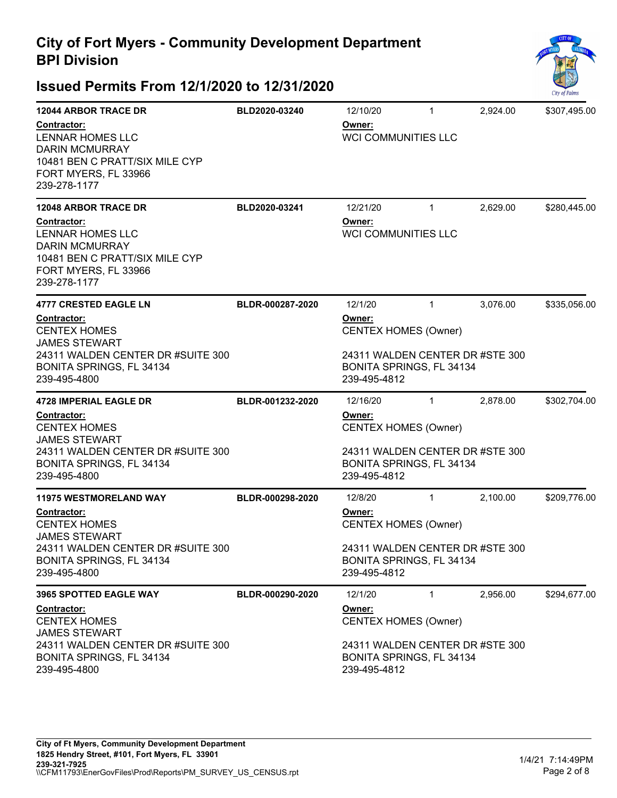

| <b>12044 ARBOR TRACE DR</b>                                                                                                               | BLD2020-03240                         | 12/10/20                                                                    | $\mathbf{1}$ | 2,924.00 | \$307,495.00 |
|-------------------------------------------------------------------------------------------------------------------------------------------|---------------------------------------|-----------------------------------------------------------------------------|--------------|----------|--------------|
| Contractor:<br><b>LENNAR HOMES LLC</b><br><b>DARIN MCMURRAY</b><br>10481 BEN C PRATT/SIX MILE CYP<br>FORT MYERS, FL 33966<br>239-278-1177 |                                       | <u>Owner:</u><br><b>WCI COMMUNITIES LLC</b>                                 |              |          |              |
| <b>12048 ARBOR TRACE DR</b>                                                                                                               | BLD2020-03241                         | 12/21/20                                                                    | $\mathbf{1}$ | 2,629.00 | \$280,445.00 |
| Contractor:<br>LENNAR HOMES LLC<br><b>DARIN MCMURRAY</b><br>10481 BEN C PRATT/SIX MILE CYP<br>FORT MYERS, FL 33966<br>239-278-1177        |                                       | Owner:<br><b>WCI COMMUNITIES LLC</b>                                        |              |          |              |
| <b>4777 CRESTED EAGLE LN</b>                                                                                                              | BLDR-000287-2020                      | 12/1/20                                                                     | $\mathbf{1}$ | 3,076.00 | \$335,056.00 |
| <b>Contractor:</b><br><b>CENTEX HOMES</b><br><b>JAMES STEWART</b>                                                                         | Owner:<br><b>CENTEX HOMES (Owner)</b> |                                                                             |              |          |              |
| 24311 WALDEN CENTER DR #SUITE 300<br>BONITA SPRINGS, FL 34134<br>239-495-4800                                                             |                                       | 24311 WALDEN CENTER DR #STE 300<br>BONITA SPRINGS, FL 34134<br>239-495-4812 |              |          |              |
| <b>4728 IMPERIAL EAGLE DR</b>                                                                                                             | BLDR-001232-2020                      | 12/16/20                                                                    | $\mathbf{1}$ | 2,878.00 | \$302,704.00 |
| Contractor:<br><b>CENTEX HOMES</b><br><b>JAMES STEWART</b>                                                                                |                                       | <u>Owner:</u><br><b>CENTEX HOMES (Owner)</b>                                |              |          |              |
| 24311 WALDEN CENTER DR #SUITE 300<br>BONITA SPRINGS, FL 34134<br>239-495-4800                                                             |                                       | 24311 WALDEN CENTER DR #STE 300<br>BONITA SPRINGS, FL 34134<br>239-495-4812 |              |          |              |
| <b>11975 WESTMORELAND WAY</b>                                                                                                             | BLDR-000298-2020                      | 12/8/20                                                                     | $\mathbf{1}$ | 2,100.00 | \$209,776.00 |
| Contractor:<br><b>CENTEX HOMES</b><br><b>JAMES STEWART</b>                                                                                |                                       | Owner:<br><b>CENTEX HOMES (Owner)</b>                                       |              |          |              |
| 24311 WALDEN CENTER DR #SUITE 300<br>BONITA SPRINGS, FL 34134<br>239-495-4800                                                             |                                       | 24311 WALDEN CENTER DR #STE 300<br>BONITA SPRINGS, FL 34134<br>239-495-4812 |              |          |              |
| <b>3965 SPOTTED EAGLE WAY</b>                                                                                                             | BLDR-000290-2020                      | 12/1/20                                                                     | $\mathbf{1}$ | 2,956.00 | \$294,677.00 |
| <b>Contractor:</b><br><b>CENTEX HOMES</b><br><b>JAMES STEWART</b>                                                                         |                                       | Owner:<br><b>CENTEX HOMES (Owner)</b>                                       |              |          |              |
| 24311 WALDEN CENTER DR #SUITE 300<br>BONITA SPRINGS, FL 34134<br>239-495-4800                                                             |                                       | 24311 WALDEN CENTER DR #STE 300<br>BONITA SPRINGS, FL 34134<br>239-495-4812 |              |          |              |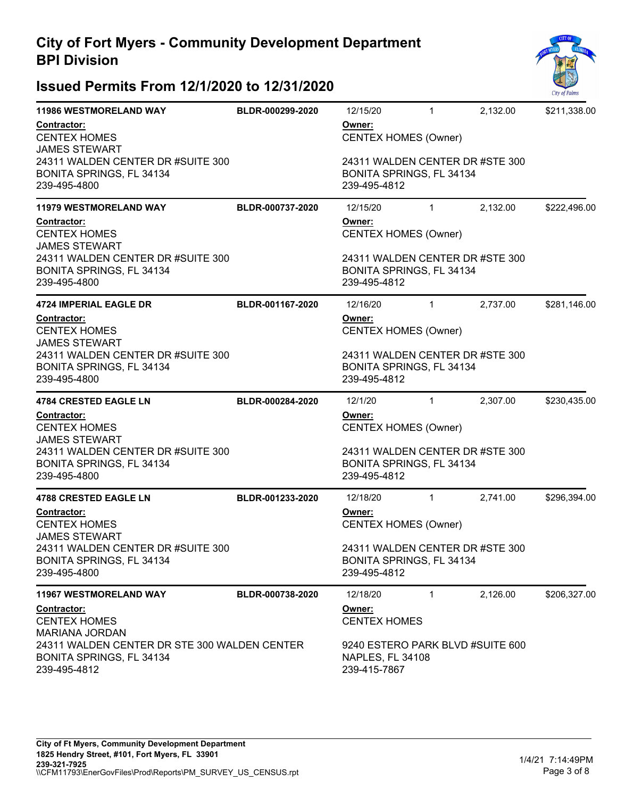

| <b>11986 WESTMORELAND WAY</b>                                                            | BLDR-000299-2020 | 12/15/20                                                                    | $\mathbf{1}$ | 2,132.00                         | \$211,338.00 |  |
|------------------------------------------------------------------------------------------|------------------|-----------------------------------------------------------------------------|--------------|----------------------------------|--------------|--|
| Contractor:<br><b>CENTEX HOMES</b><br><b>JAMES STEWART</b>                               |                  | Owner:<br><b>CENTEX HOMES (Owner)</b>                                       |              |                                  |              |  |
| 24311 WALDEN CENTER DR #SUITE 300<br>BONITA SPRINGS, FL 34134<br>239-495-4800            |                  | 24311 WALDEN CENTER DR #STE 300<br>BONITA SPRINGS, FL 34134<br>239-495-4812 |              |                                  |              |  |
| <b>11979 WESTMORELAND WAY</b>                                                            | BLDR-000737-2020 | 12/15/20                                                                    | $\mathbf{1}$ | 2,132.00                         | \$222,496.00 |  |
| Contractor:<br><b>CENTEX HOMES</b><br><b>JAMES STEWART</b>                               |                  | Owner:<br><b>CENTEX HOMES (Owner)</b>                                       |              |                                  |              |  |
| 24311 WALDEN CENTER DR #SUITE 300<br>BONITA SPRINGS, FL 34134<br>239-495-4800            |                  | 24311 WALDEN CENTER DR #STE 300<br>BONITA SPRINGS, FL 34134<br>239-495-4812 |              |                                  |              |  |
| 4724 IMPERIAL EAGLE DR                                                                   | BLDR-001167-2020 | 12/16/20                                                                    | $\mathbf{1}$ | 2,737.00                         | \$281,146.00 |  |
| <b>Contractor:</b><br><b>CENTEX HOMES</b><br><b>JAMES STEWART</b>                        |                  | Owner:<br><b>CENTEX HOMES (Owner)</b>                                       |              |                                  |              |  |
| 24311 WALDEN CENTER DR #SUITE 300<br>BONITA SPRINGS, FL 34134<br>239-495-4800            |                  | 24311 WALDEN CENTER DR #STE 300<br>BONITA SPRINGS, FL 34134<br>239-495-4812 |              |                                  |              |  |
| 4784 CRESTED EAGLE LN                                                                    | BLDR-000284-2020 | 12/1/20                                                                     | $\mathbf{1}$ | 2,307.00                         | \$230,435.00 |  |
| Contractor:<br><b>CENTEX HOMES</b><br><b>JAMES STEWART</b>                               |                  | Owner:<br><b>CENTEX HOMES (Owner)</b>                                       |              |                                  |              |  |
| 24311 WALDEN CENTER DR #SUITE 300<br>BONITA SPRINGS, FL 34134<br>239-495-4800            |                  | 24311 WALDEN CENTER DR #STE 300<br>BONITA SPRINGS, FL 34134<br>239-495-4812 |              |                                  |              |  |
| <b>4788 CRESTED EAGLE LN</b>                                                             | BLDR-001233-2020 | 12/18/20                                                                    | $\mathbf{1}$ | 2,741.00                         | \$296,394.00 |  |
| Contractor:<br><b>CENTEX HOMES</b><br><b>JAMES STEWART</b>                               |                  | Owner:<br><b>CENTEX HOMES (Owner)</b>                                       |              |                                  |              |  |
| 24311 WALDEN CENTER DR #SUITE 300<br>BONITA SPRINGS, FL 34134<br>239-495-4800            |                  | 24311 WALDEN CENTER DR #STE 300<br>BONITA SPRINGS, FL 34134<br>239-495-4812 |              |                                  |              |  |
| 11967 WESTMORELAND WAY                                                                   | BLDR-000738-2020 | 12/18/20                                                                    | 1            | 2,126.00                         | \$206,327.00 |  |
| Contractor:<br><b>CENTEX HOMES</b><br><b>MARIANA JORDAN</b>                              |                  | Owner:<br><b>CENTEX HOMES</b>                                               |              |                                  |              |  |
| 24311 WALDEN CENTER DR STE 300 WALDEN CENTER<br>BONITA SPRINGS, FL 34134<br>239-495-4812 |                  | NAPLES, FL 34108<br>239-415-7867                                            |              | 9240 ESTERO PARK BLVD #SUITE 600 |              |  |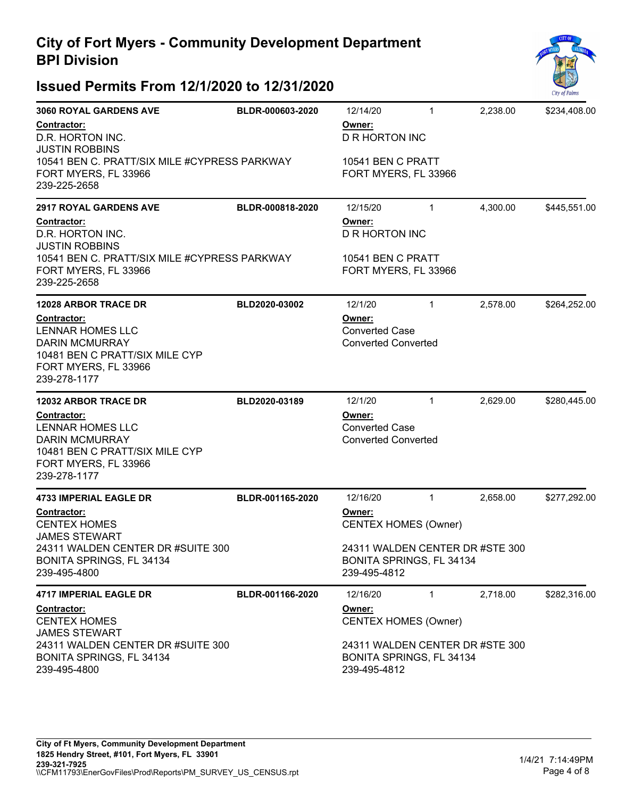

| <b>3060 ROYAL GARDENS AVE</b>                                                                                                                    | BLDR-000603-2020 | 12/14/20                                                                     | 1 | 2,238.00 | \$234,408.00 |
|--------------------------------------------------------------------------------------------------------------------------------------------------|------------------|------------------------------------------------------------------------------|---|----------|--------------|
| Contractor:<br>D.R. HORTON INC.<br><b>JUSTIN ROBBINS</b><br>10541 BEN C. PRATT/SIX MILE #CYPRESS PARKWAY<br>FORT MYERS, FL 33966<br>239-225-2658 |                  | Owner:<br><b>D R HORTON INC</b><br>10541 BEN C PRATT<br>FORT MYERS, FL 33966 |   |          |              |
| <b>2917 ROYAL GARDENS AVE</b>                                                                                                                    | BLDR-000818-2020 | 12/15/20                                                                     | 1 | 4,300.00 | \$445,551.00 |
| Contractor:<br>D.R. HORTON INC.<br><b>JUSTIN ROBBINS</b><br>10541 BEN C. PRATT/SIX MILE #CYPRESS PARKWAY                                         |                  | Owner:<br>D R HORTON INC<br>10541 BEN C PRATT                                |   |          |              |
| FORT MYERS, FL 33966<br>239-225-2658                                                                                                             |                  | FORT MYERS, FL 33966                                                         |   |          |              |
| <b>12028 ARBOR TRACE DR</b>                                                                                                                      | BLD2020-03002    | 12/1/20                                                                      | 1 | 2,578.00 | \$264,252.00 |
| Contractor:<br><b>LENNAR HOMES LLC</b><br><b>DARIN MCMURRAY</b><br>10481 BEN C PRATT/SIX MILE CYP<br>FORT MYERS, FL 33966<br>239-278-1177        |                  | Owner:<br><b>Converted Case</b><br><b>Converted Converted</b>                |   |          |              |
|                                                                                                                                                  |                  |                                                                              |   |          |              |
| <b>12032 ARBOR TRACE DR</b>                                                                                                                      | BLD2020-03189    | 12/1/20                                                                      | 1 | 2,629.00 | \$280,445.00 |
| Contractor:<br><b>LENNAR HOMES LLC</b><br><b>DARIN MCMURRAY</b><br>10481 BEN C PRATT/SIX MILE CYP<br>FORT MYERS, FL 33966<br>239-278-1177        |                  | Owner:<br><b>Converted Case</b><br><b>Converted Converted</b>                |   |          |              |
| <b>4733 IMPERIAL EAGLE DR</b>                                                                                                                    | BLDR-001165-2020 | 12/16/20                                                                     | 1 | 2,658.00 | \$277,292.00 |
| <b>Contractor:</b><br><b>CENTEX HOMES</b>                                                                                                        |                  | Owner:<br><b>CENTEX HOMES (Owner)</b>                                        |   |          |              |
| <b>JAMES STEWART</b><br>24311 WALDEN CENTER DR #SUITE 300<br>BONITA SPRINGS, FL 34134<br>239-495-4800                                            |                  | 24311 WALDEN CENTER DR #STE 300<br>BONITA SPRINGS, FL 34134<br>239-495-4812  |   |          |              |
| <b>4717 IMPERIAL EAGLE DR</b>                                                                                                                    | BLDR-001166-2020 | 12/16/20                                                                     | 1 | 2,718.00 | \$282,316.00 |
| <b>Contractor:</b><br><b>CENTEX HOMES</b><br><b>JAMES STEWART</b>                                                                                |                  | Owner:<br><b>CENTEX HOMES (Owner)</b>                                        |   |          |              |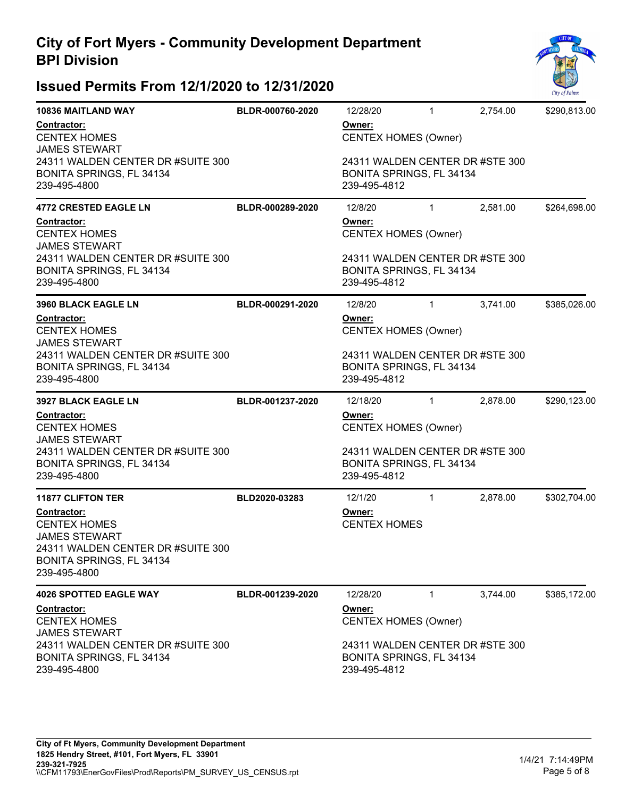

| <b>10836 MAITLAND WAY</b>                                                                                                    | BLDR-000760-2020                      | 12/28/20                                                                        | $\mathbf{1}$                    | 2,754.00 | \$290,813.00 |  |  |
|------------------------------------------------------------------------------------------------------------------------------|---------------------------------------|---------------------------------------------------------------------------------|---------------------------------|----------|--------------|--|--|
| Contractor:<br><b>CENTEX HOMES</b><br><b>JAMES STEWART</b><br>24311 WALDEN CENTER DR #SUITE 300                              |                                       | <u>Owner:</u><br><b>CENTEX HOMES (Owner)</b><br>24311 WALDEN CENTER DR #STE 300 |                                 |          |              |  |  |
| BONITA SPRINGS, FL 34134<br>239-495-4800                                                                                     |                                       | BONITA SPRINGS, FL 34134<br>239-495-4812                                        |                                 |          |              |  |  |
| <b>4772 CRESTED EAGLE LN</b>                                                                                                 | BLDR-000289-2020                      | 12/8/20                                                                         | $\mathbf{1}$                    | 2,581.00 | \$264,698.00 |  |  |
| Contractor:<br><b>CENTEX HOMES</b><br><b>JAMES STEWART</b>                                                                   |                                       | <u>Owner:</u><br><b>CENTEX HOMES (Owner)</b>                                    |                                 |          |              |  |  |
| 24311 WALDEN CENTER DR #SUITE 300<br>BONITA SPRINGS, FL 34134<br>239-495-4800                                                |                                       | 24311 WALDEN CENTER DR #STE 300<br>BONITA SPRINGS, FL 34134<br>239-495-4812     |                                 |          |              |  |  |
| <b>3960 BLACK EAGLE LN</b>                                                                                                   | BLDR-000291-2020                      | 12/8/20                                                                         | $\mathbf{1}$                    | 3,741.00 | \$385,026.00 |  |  |
| Contractor:<br><b>CENTEX HOMES</b><br><b>JAMES STEWART</b>                                                                   | Owner:<br><b>CENTEX HOMES (Owner)</b> |                                                                                 |                                 |          |              |  |  |
| 24311 WALDEN CENTER DR #SUITE 300<br>BONITA SPRINGS, FL 34134<br>239-495-4800                                                |                                       | BONITA SPRINGS, FL 34134<br>239-495-4812                                        | 24311 WALDEN CENTER DR #STE 300 |          |              |  |  |
| <b>3927 BLACK EAGLE LN</b>                                                                                                   | BLDR-001237-2020                      | 12/18/20                                                                        | $\mathbf{1}$                    | 2,878.00 | \$290,123.00 |  |  |
| Contractor:<br><b>CENTEX HOMES</b><br><b>JAMES STEWART</b>                                                                   |                                       | Owner:<br><b>CENTEX HOMES (Owner)</b>                                           |                                 |          |              |  |  |
| 24311 WALDEN CENTER DR #SUITE 300<br>BONITA SPRINGS, FL 34134<br>239-495-4800                                                |                                       | 24311 WALDEN CENTER DR #STE 300<br>BONITA SPRINGS, FL 34134<br>239-495-4812     |                                 |          |              |  |  |
| <b>11877 CLIFTON TER</b>                                                                                                     | BLD2020-03283                         | 12/1/20                                                                         | $\mathbf{1}$                    | 2,878.00 | \$302,704.00 |  |  |
| Contractor:                                                                                                                  |                                       | Owner:                                                                          |                                 |          |              |  |  |
| <b>CENTEX HOMES</b><br><b>JAMES STEWART</b><br>24311 WALDEN CENTER DR #SUITE 300<br>BONITA SPRINGS, FL 34134<br>239-495-4800 |                                       | <b>CENTEX HOMES</b>                                                             |                                 |          |              |  |  |
| <b>4026 SPOTTED EAGLE WAY</b>                                                                                                | BLDR-001239-2020                      | 12/28/20                                                                        | $\mathbf{1}$                    | 3,744.00 | \$385,172.00 |  |  |
| <b>Contractor:</b><br><b>CENTEX HOMES</b><br><b>JAMES STEWART</b>                                                            |                                       | Owner:<br><b>CENTEX HOMES (Owner)</b>                                           |                                 |          |              |  |  |
| 24311 WALDEN CENTER DR #SUITE 300<br>BONITA SPRINGS, FL 34134<br>239-495-4800                                                |                                       | 24311 WALDEN CENTER DR #STE 300<br>BONITA SPRINGS, FL 34134                     |                                 |          |              |  |  |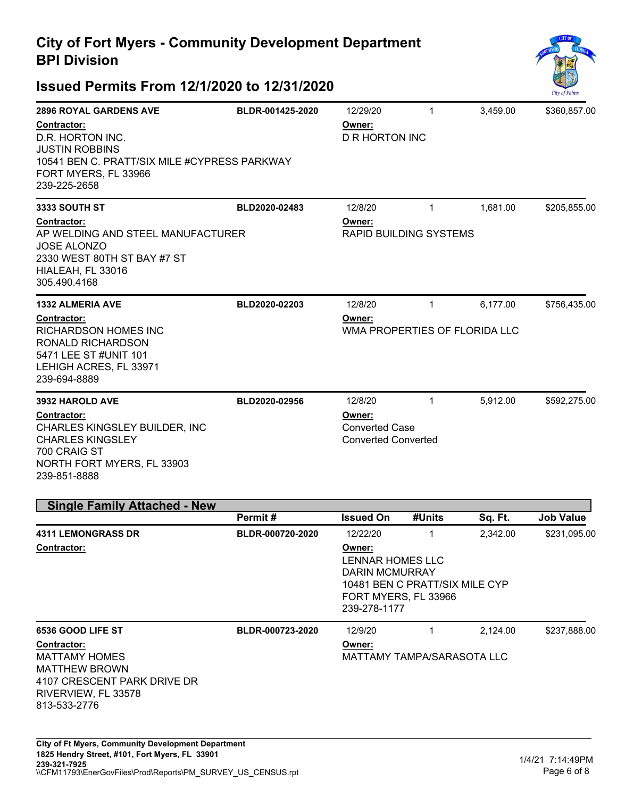

| <b>2896 ROYAL GARDENS AVE</b>                                                                                                                    | BLDR-001425-2020 | 12/29/20                                                                                                                                  | $\mathbf{1}$ | 3,459.00 | \$360,857.00     |
|--------------------------------------------------------------------------------------------------------------------------------------------------|------------------|-------------------------------------------------------------------------------------------------------------------------------------------|--------------|----------|------------------|
| Contractor:<br>D.R. HORTON INC.<br><b>JUSTIN ROBBINS</b><br>10541 BEN C. PRATT/SIX MILE #CYPRESS PARKWAY<br>FORT MYERS, FL 33966<br>239-225-2658 |                  | Owner:<br><b>D R HORTON INC</b>                                                                                                           |              |          |                  |
| <b>3333 SOUTH ST</b>                                                                                                                             | BLD2020-02483    | 12/8/20                                                                                                                                   | $\mathbf{1}$ | 1,681.00 | \$205,855.00     |
| Contractor:<br>AP WELDING AND STEEL MANUFACTURER<br><b>JOSE ALONZO</b><br>2330 WEST 80TH ST BAY #7 ST<br>HIALEAH, FL 33016<br>305.490.4168       |                  | Owner:<br>RAPID BUILDING SYSTEMS                                                                                                          |              |          |                  |
| <b>1332 ALMERIA AVE</b>                                                                                                                          | BLD2020-02203    | 12/8/20                                                                                                                                   | $\mathbf{1}$ | 6,177.00 | \$756,435.00     |
| Contractor:<br><b>RICHARDSON HOMES INC</b><br>RONALD RICHARDSON<br>5471 LEE ST #UNIT 101<br>LEHIGH ACRES, FL 33971<br>239-694-8889               |                  | Owner:<br>WMA PROPERTIES OF FLORIDA LLC                                                                                                   |              |          |                  |
| <b>3932 HAROLD AVE</b>                                                                                                                           | BLD2020-02956    | 12/8/20                                                                                                                                   | $\mathbf{1}$ | 5,912.00 | \$592,275.00     |
| Contractor:<br>CHARLES KINGSLEY BUILDER, INC<br><b>CHARLES KINGSLEY</b><br>700 CRAIG ST<br>NORTH FORT MYERS, FL 33903<br>239-851-8888            |                  | Owner:<br><b>Converted Case</b><br><b>Converted Converted</b>                                                                             |              |          |                  |
| <b>Single Family Attached - New</b>                                                                                                              |                  |                                                                                                                                           |              |          |                  |
|                                                                                                                                                  | Permit#          | <b>Issued On</b>                                                                                                                          | #Units       | Sq. Ft.  | <b>Job Value</b> |
| <b>4311 LEMONGRASS DR</b><br>Contractor:                                                                                                         | BLDR-000720-2020 | 12/22/20<br>Owner:<br>LENNAR HOMES LLC<br><b>DARIN MCMURRAY</b><br>10481 BEN C PRATT/SIX MILE CYP<br>FORT MYERS, FL 33966<br>239-278-1177 | 1            | 2,342.00 | \$231,095.00     |
| 6536 GOOD LIFE ST                                                                                                                                | BLDR-000723-2020 | 12/9/20                                                                                                                                   | $\mathbf{1}$ | 2,124.00 | \$237,888.00     |
| <b>Contractor:</b><br><b>MATTAMY HOMES</b><br><b>MATTHEW BROWN</b><br>4107 CRESCENT PARK DRIVE DR<br>RIVERVIEW, FL 33578<br>813-533-2776         |                  | Owner:<br>MATTAMY TAMPA/SARASOTA LLC                                                                                                      |              |          |                  |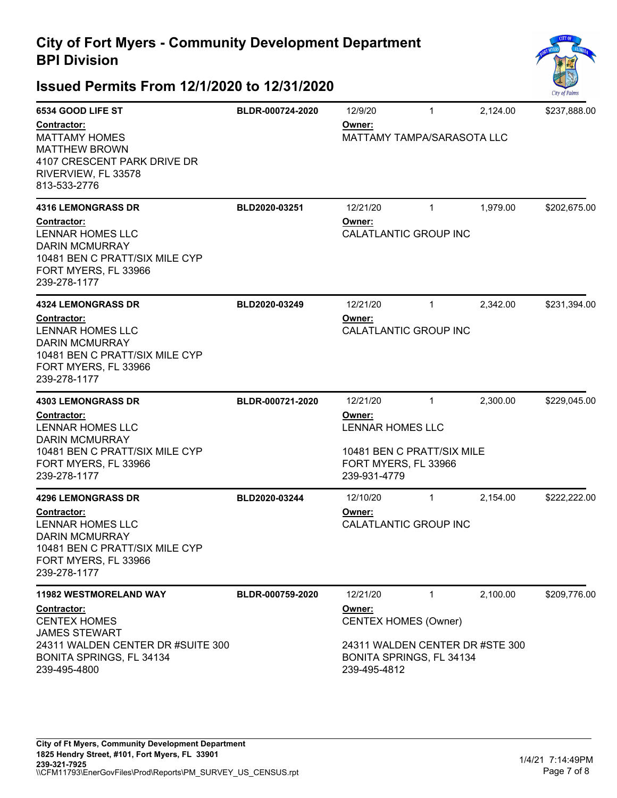

| 6534 GOOD LIFE ST                                                                                                                         | BLDR-000724-2020 | 12/9/20                                                                     | $\mathbf{1}$ | 2,124.00 | \$237,888.00 |  |
|-------------------------------------------------------------------------------------------------------------------------------------------|------------------|-----------------------------------------------------------------------------|--------------|----------|--------------|--|
| Contractor:<br><b>MATTAMY HOMES</b><br><b>MATTHEW BROWN</b><br>4107 CRESCENT PARK DRIVE DR<br>RIVERVIEW, FL 33578<br>813-533-2776         |                  | Owner:<br><b>MATTAMY TAMPA/SARASOTA LLC</b>                                 |              |          |              |  |
| <b>4316 LEMONGRASS DR</b>                                                                                                                 | BLD2020-03251    | 12/21/20                                                                    | $\mathbf{1}$ | 1,979.00 | \$202,675.00 |  |
| Contractor:<br><b>LENNAR HOMES LLC</b><br><b>DARIN MCMURRAY</b><br>10481 BEN C PRATT/SIX MILE CYP<br>FORT MYERS, FL 33966<br>239-278-1177 |                  | Owner:<br>CALATLANTIC GROUP INC                                             |              |          |              |  |
| <b>4324 LEMONGRASS DR</b>                                                                                                                 | BLD2020-03249    | 12/21/20                                                                    | $\mathbf{1}$ | 2,342.00 | \$231,394.00 |  |
| Contractor:<br><b>LENNAR HOMES LLC</b><br><b>DARIN MCMURRAY</b><br>10481 BEN C PRATT/SIX MILE CYP<br>FORT MYERS, FL 33966<br>239-278-1177 |                  | Owner:<br>CALATLANTIC GROUP INC                                             |              |          |              |  |
| <b>4303 LEMONGRASS DR</b>                                                                                                                 | BLDR-000721-2020 | 12/21/20                                                                    | $\mathbf{1}$ | 2,300.00 | \$229,045.00 |  |
| Contractor:<br><b>LENNAR HOMES LLC</b><br><b>DARIN MCMURRAY</b><br>10481 BEN C PRATT/SIX MILE CYP                                         |                  | Owner:<br><b>LENNAR HOMES LLC</b><br>10481 BEN C PRATT/SIX MILE             |              |          |              |  |
| FORT MYERS, FL 33966<br>239-278-1177                                                                                                      |                  | FORT MYERS, FL 33966<br>239-931-4779                                        |              |          |              |  |
| <b>4296 LEMONGRASS DR</b>                                                                                                                 | BLD2020-03244    | 12/10/20                                                                    | $\mathbf 1$  | 2,154.00 | \$222,222.00 |  |
| Contractor:<br><b>LENNAR HOMES LLC</b><br><b>DARIN MCMURRAY</b><br>10481 BEN C PRATT/SIX MILE CYP<br>FORT MYERS, FL 33966<br>239-278-1177 |                  | Owner:<br><b>CALATLANTIC GROUP INC</b>                                      |              |          |              |  |
| 11982 WESTMORELAND WAY                                                                                                                    | BLDR-000759-2020 | 12/21/20                                                                    | $\mathbf 1$  | 2,100.00 | \$209,776.00 |  |
| Contractor:<br><b>CENTEX HOMES</b><br><b>JAMES STEWART</b>                                                                                |                  | Owner:<br><b>CENTEX HOMES (Owner)</b>                                       |              |          |              |  |
| 24311 WALDEN CENTER DR #SUITE 300<br>BONITA SPRINGS, FL 34134<br>239-495-4800                                                             |                  | 24311 WALDEN CENTER DR #STE 300<br>BONITA SPRINGS, FL 34134<br>239-495-4812 |              |          |              |  |